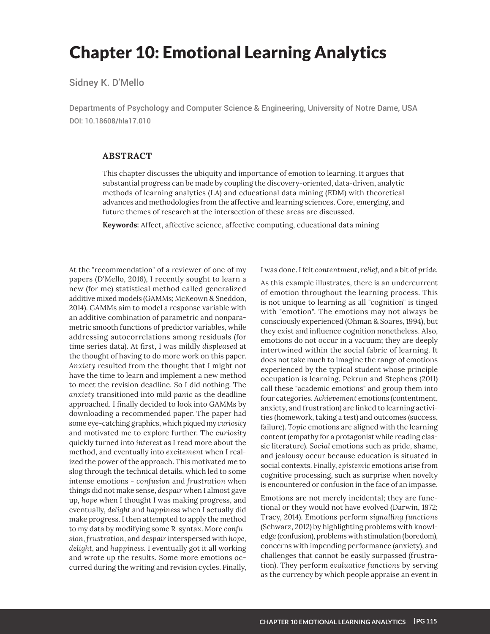# Chapter 10: Emotional Learning Analytics

Sidney K. D'Mello

Departments of Psychology and Computer Science & Engineering, University of Notre Dame, USA DOI: 10.18608/hla17.010

### **ABSTRACT**

This chapter discusses the ubiquity and importance of emotion to learning. It argues that substantial progress can be made by coupling the discovery-oriented, data-driven, analytic methods of learning analytics (LA) and educational data mining (EDM) with theoretical advances and methodologies from the affective and learning sciences. Core, emerging, and future themes of research at the intersection of these areas are discussed.

**Keywords:** Affect, affective science, affective computing, educational data mining

At the "recommendation" of a reviewer of one of my papers (D'Mello, 2016), I recently sought to learn a new (for me) statistical method called generalized additive mixed models (GAMMs; McKeown & Sneddon, 2014). GAMMs aim to model a response variable with an additive combination of parametric and nonparametric smooth functions of predictor variables, while addressing autocorrelations among residuals (for time series data). At first, I was mildly *displeased* at the thought of having to do more work on this paper. *Anxiety* resulted from the thought that I might not have the time to learn and implement a new method to meet the revision deadline. So I did nothing. The *anxiety* transitioned into mild *panic* as the deadline approached. I finally decided to look into GAMMs by downloading a recommended paper. The paper had some eye-catching graphics, which piqued my *curiosity* and motivated me to explore further. The *curiosity* quickly turned into *interest* as I read more about the method, and eventually into *excitement* when I realized the power of the approach. This motivated me to slog through the technical details, which led to some intense emotions - *confusion* and *frustration* when things did not make sense, *despair* when I almost gave up, *hope* when I thought I was making progress, and eventually, *delight* and *happiness* when I actually did make progress. I then attempted to apply the method to my data by modifying some R-syntax. More confu*sion*, *frustration*, and *despair* interspersed with *hope*, *delight*, and *happiness*. I eventually got it all working and wrote up the results. Some more emotions occurred during the writing and revision cycles. Finally,

I was done. I felt *contentment*, *relief*, and a bit of *pride*.

As this example illustrates, there is an undercurrent of emotion throughout the learning process. This is not unique to learning as all "cognition" is tinged with "emotion". The emotions may not always be consciously experienced (Ohman & Soares, 1994), but they exist and influence cognition nonetheless. Also, emotions do not occur in a vacuum; they are deeply intertwined within the social fabric of learning. It does not take much to imagine the range of emotions experienced by the typical student whose principle occupation is learning. Pekrun and Stephens (2011) call these "academic emotions" and group them into four categories. *Achievement* emotions (contentment, anxiety, and frustration) are linked to learning activities (homework, taking a test) and outcomes (success, failure). *Topic* emotions are aligned with the learning content (empathy for a protagonist while reading classic literature). *Social* emotions such as pride, shame, and jealousy occur because education is situated in social contexts. Finally, epistemic emotions arise from cognitive processing, such as surprise when novelty is encountered or confusion in the face of an impasse.

Emotions are not merely incidental; they are functional or they would not have evolved (Darwin, 1872; Tracy, 2014). Emotions perform *signalling functions*  (Schwarz, 2012) by highlighting problems with knowledge (confusion), problems with stimulation (boredom), concerns with impending performance (anxiety), and challenges that cannot be easily surpassed (frustration). They perform *evaluative functions* by serving as the currency by which people appraise an event in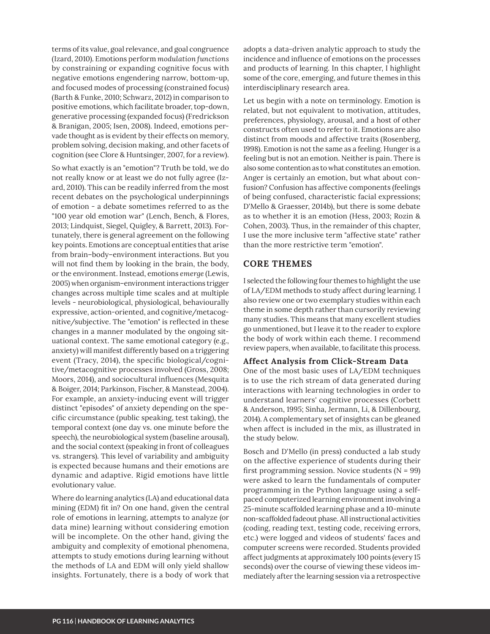terms of its value, goal relevance, and goal congruence (Izard, 2010). Emotions perform *modulation functions* by constraining or expanding cognitive focus with negative emotions engendering narrow, bottom-up, and focused modes of processing (constrained focus) (Barth & Funke, 2010; Schwarz, 2012) in comparison to positive emotions, which facilitate broader, top-down, generative processing (expanded focus) (Fredrickson & Branigan, 2005; Isen, 2008). Indeed, emotions pervade thought as is evident by their effects on memory, problem solving, decision making, and other facets of cognition (see Clore & Huntsinger, 2007, for a review).

So what exactly is an "emotion"? Truth be told, we do not really know or at least we do not fully agree (Izard, 2010). This can be readily inferred from the most recent debates on the psychological underpinnings of emotion - a debate sometimes referred to as the "100 year old emotion war" (Lench, Bench, & Flores, 2013; Lindquist, Siegel, Quigley, & Barrett, 2013). Fortunately, there is general agreement on the following key points. Emotions are conceptual entities that arise from brain-body-environment interactions. But you will not find them by looking in the brain, the body, or the environment. Instead, emotions *emerge* (Lewis, 2005) when organism-environment interactions trigger changes across multiple time scales and at multiple levels - neurobiological, physiological, behaviourally expressive, action-oriented, and cognitive/metacognitive/subjective. The "emotion" is reflected in these changes in a manner modulated by the ongoing situational context. The same emotional category (e.g., anxiety) will manifest differently based on a triggering event (Tracy, 2014), the specific biological/cognitive/metacognitive processes involved (Gross, 2008; Moors, 2014), and sociocultural influences (Mesquita & Boiger, 2014; Parkinson, Fischer, & Manstead, 2004). For example, an anxiety-inducing event will trigger distinct "episodes" of anxiety depending on the specific circumstance (public speaking, test taking), the temporal context (one day vs. one minute before the speech), the neurobiological system (baseline arousal), and the social context (speaking in front of colleagues vs. strangers). This level of variability and ambiguity is expected because humans and their emotions are dynamic and adaptive. Rigid emotions have little evolutionary value.

Where do learning analytics (LA) and educational data mining (EDM) fit in? On one hand, given the central role of emotions in learning, attempts to analyze (or data mine) learning without considering emotion will be incomplete. On the other hand, giving the ambiguity and complexity of emotional phenomena, attempts to study emotions during learning without the methods of LA and EDM will only yield shallow insights. Fortunately, there is a body of work that

adopts a data-driven analytic approach to study the incidence and influence of emotions on the processes and products of learning. In this chapter, I highlight some of the core, emerging, and future themes in this interdisciplinary research area.

Let us begin with a note on terminology. Emotion is related, but not equivalent to motivation, attitudes, preferences, physiology, arousal, and a host of other constructs often used to refer to it. Emotions are also distinct from moods and affective traits (Rosenberg, 1998). Emotion is not the same as a feeling. Hunger is a feeling but is not an emotion. Neither is pain. There is also some contention as to what constitutes an emotion. Anger is certainly an emotion, but what about confusion? Confusion has affective components (feelings of being confused, characteristic facial expressions; D'Mello & Graesser, 2014b), but there is some debate as to whether it is an emotion (Hess, 2003; Rozin & Cohen, 2003). Thus, in the remainder of this chapter, I use the more inclusive term "affective state" rather than the more restrictive term "emotion".

## **CORE THEMES**

I selected the following four themes to highlight the use of LA/EDM methods to study affect during learning. I also review one or two exemplary studies within each theme in some depth rather than cursorily reviewing many studies. This means that many excellent studies go unmentioned, but I leave it to the reader to explore the body of work within each theme. I recommend review papers, when available, to facilitate this process.

#### **Affect Analysis from Click-Stream Data**

One of the most basic uses of LA/EDM techniques is to use the rich stream of data generated during interactions with learning technologies in order to understand learners' cognitive processes (Corbett & Anderson, 1995; Sinha, Jermann, Li, & Dillenbourg, 2014). A complementary set of insights can be gleaned when affect is included in the mix, as illustrated in the study below.

Bosch and D'Mello (in press) conducted a lab study on the affective experience of students during their first programming session. Novice students ( $N = 99$ ) were asked to learn the fundamentals of computer programming in the Python language using a selfpaced computerized learning environment involving a 25-minute scaffolded learning phase and a 10-minute non-scaffolded fadeout phase. All instructional activities (coding, reading text, testing code, receiving errors, etc.) were logged and videos of students' faces and computer screens were recorded. Students provided affect judgments at approximately 100 points (every 15 seconds) over the course of viewing these videos immediately after the learning session via a retrospective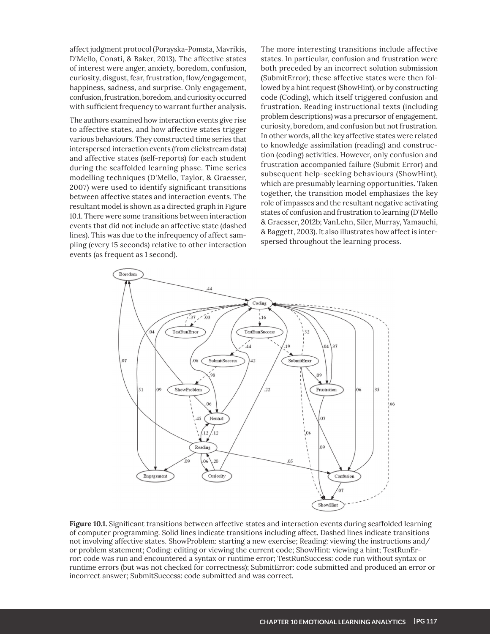affect judgment protocol (Porayska-Pomsta, Mavrikis, D'Mello, Conati, & Baker, 2013). The affective states of interest were anger, anxiety, boredom, confusion, curiosity, disgust, fear, frustration, flow/engagement, happiness, sadness, and surprise. Only engagement, confusion, frustration, boredom, and curiosity occurred with sufficient frequency to warrant further analysis.

The authors examined how interaction events give rise to affective states, and how affective states trigger various behaviours. They constructed time series that interspersed interaction events (from clickstream data) and affective states (self-reports) for each student during the scaffolded learning phase. Time series modelling techniques (D'Mello, Taylor, & Graesser, 2007) were used to identify significant transitions between affective states and interaction events. The resultant model is shown as a directed graph in Figure 10.1. There were some transitions between interaction events that did not include an affective state (dashed lines). This was due to the infrequency of affect sampling (every 15 seconds) relative to other interaction events (as frequent as 1 second).

The more interesting transitions include affective states. In particular, confusion and frustration were both preceded by an incorrect solution submission (SubmitError); these affective states were then followed by a hint request (ShowHint), or by constructing code (Coding), which itself triggered confusion and frustration. Reading instructional texts (including problem descriptions) was a precursor of engagement, curiosity, boredom, and confusion but not frustration. In other words, all the key affective states were related to knowledge assimilation (reading) and construction (coding) activities. However, only confusion and frustration accompanied failure (Submit Error) and subsequent help-seeking behaviours (ShowHint), which are presumably learning opportunities. Taken together, the transition model emphasizes the key role of impasses and the resultant negative activating states of confusion and frustration to learning (D'Mello & Graesser, 2012b; VanLehn, Siler, Murray, Yamauchi, & Baggett, 2003). It also illustrates how affect is interspersed throughout the learning process.



Figure 10.1. Significant transitions between affective states and interaction events during scaffolded learning of computer programming. Solid lines indicate transitions including affect. Dashed lines indicate transitions not involving affective states. ShowProblem: starting a new exercise; Reading: viewing the instructions and/ or problem statement; Coding: editing or viewing the current code; ShowHint: viewing a hint; TestRunError: code was run and encountered a syntax or runtime error; TestRunSuccess: code run without syntax or runtime errors (but was not checked for correctness); SubmitError: code submitted and produced an error or incorrect answer; SubmitSuccess: code submitted and was correct.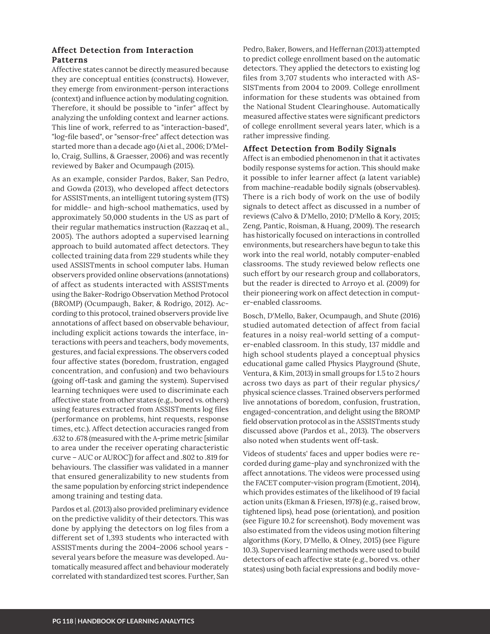### **Affect Detection from Interaction Patterns**

Affective states cannot be directly measured because they are conceptual entities (constructs). However, they emerge from environment-person interactions (context) and influence action by modulating cognition. Therefore, it should be possible to "infer" affect by analyzing the unfolding context and learner actions. This line of work, referred to as "interaction-based", "log-file based", or "sensor-free" affect detection was started more than a decade ago (Ai et al., 2006; D'Mello, Craig, Sullins, & Graesser, 2006) and was recently reviewed by Baker and Ocumpaugh (2015).

As an example, consider Pardos, Baker, San Pedro, and Gowda (2013), who developed affect detectors for ASSISTments, an intelligent tutoring system (ITS) for middle- and high-school mathematics, used by approximately 50,000 students in the US as part of their regular mathematics instruction (Razzaq et al., 2005). The authors adopted a supervised learning approach to build automated affect detectors. They collected training data from 229 students while they used ASSISTments in school computer labs. Human observers provided online observations (annotations) of affect as students interacted with ASSISTments using the Baker-Rodrigo Observation Method Protocol (BROMP) (Ocumpaugh, Baker, & Rodrigo, 2012). According to this protocol, trained observers provide live annotations of affect based on observable behaviour, including explicit actions towards the interface, interactions with peers and teachers, body movements, gestures, and facial expressions. The observers coded four affective states (boredom, frustration, engaged concentration, and confusion) and two behaviours (going off-task and gaming the system). Supervised learning techniques were used to discriminate each affective state from other states (e.g., bored vs. others) using features extracted from ASSISTments log files (performance on problems, hint requests, response times, etc.). Affect detection accuracies ranged from .632 to .678 (measured with the A-prime metric [similar to area under the receiver operating characteristic curve - AUC or AUROC]) for affect and .802 to .819 for behaviours. The classifier was validated in a manner that ensured generalizability to new students from the same population by enforcing strict independence among training and testing data.

Pardos et al. (2013) also provided preliminary evidence on the predictive validity of their detectors. This was done by applying the detectors on log files from a different set of 1,393 students who interacted with ASSISTments during the 2004-2006 school years several years before the measure was developed. Automatically measured affect and behaviour moderately correlated with standardized test scores. Further, San Pedro, Baker, Bowers, and Heffernan (2013) attempted to predict college enrollment based on the automatic detectors. They applied the detectors to existing log files from 3,707 students who interacted with AS-SISTments from 2004 to 2009. College enrollment information for these students was obtained from the National Student Clearinghouse. Automatically measured affective states were significant predictors of college enrollment several years later, which is a rather impressive finding.

#### **Affect Detection from Bodily Signals**

Affect is an embodied phenomenon in that it activates bodily response systems for action. This should make it possible to infer learner affect (a latent variable) from machine-readable bodily signals (observables). There is a rich body of work on the use of bodily signals to detect affect as discussed in a number of reviews (Calvo & D'Mello, 2010; D'Mello & Kory, 2015; Zeng, Pantic, Roisman, & Huang, 2009). The research has historically focused on interactions in controlled environments, but researchers have begun to take this work into the real world, notably computer-enabled classrooms. The study reviewed below reflects one such effort by our research group and collaborators, but the reader is directed to Arroyo et al. (2009) for their pioneering work on affect detection in computer-enabled classrooms.

Bosch, D'Mello, Baker, Ocumpaugh, and Shute (2016) studied automated detection of affect from facial features in a noisy real-world setting of a computer-enabled classroom. In this study, 137 middle and high school students played a conceptual physics educational game called Physics Playground (Shute, Ventura, & Kim, 2013) in small groups for 1.5 to 2 hours across two days as part of their regular physics/ physical science classes. Trained observers performed live annotations of boredom, confusion, frustration, engaged-concentration, and delight using the BROMP field observation protocol as in the ASSISTments study discussed above (Pardos et al., 2013). The observers also noted when students went off-task.

Videos of students' faces and upper bodies were recorded during game-play and synchronized with the affect annotations. The videos were processed using the FACET computer-vision program (Emotient, 2014), which provides estimates of the likelihood of 19 facial action units (Ekman & Friesen, 1978) (e.g., raised brow, tightened lips), head pose (orientation), and position (see Figure 10.2 for screenshot). Body movement was also estimated from the videos using motion filtering algorithms (Kory, D'Mello, & Olney, 2015) (see Figure 10.3). Supervised learning methods were used to build detectors of each affective state (e.g., bored vs. other states) using both facial expressions and bodily move-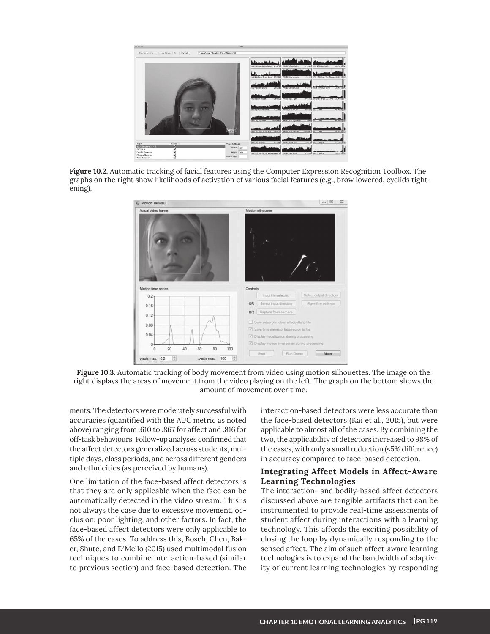

Figure 10.2. Automatic tracking of facial features using the Computer Expression Recognition Toolbox. The graphs on the right show likelihoods of activation of various facial features (e.g., brow lowered, eyelids tightening).



**Figure 10.3.** Automatic tracking of body movement from video using motion silhouettes. The image on the right displays the areas of movement from the video playing on the left. The graph on the bottom shows the amount of movement over time.

ments. The detectors were moderately successful with accuracies (quantified with the AUC metric as noted above) ranging from .610 to .867 for affect and .816 for off-task behaviours. Follow-up analyses confirmed that the affect detectors generalized across students, multiple days, class periods, and across different genders and ethnicities (as perceived by humans).

One limitation of the face-based affect detectors is that they are only applicable when the face can be automatically detected in the video stream. This is not always the case due to excessive movement, occlusion, poor lighting, and other factors. In fact, the face-based affect detectors were only applicable to 65% of the cases. To address this, Bosch, Chen, Baker, Shute, and D'Mello (2015) used multimodal fusion techniques to combine interaction-based (similar to previous section) and face-based detection. The

interaction-based detectors were less accurate than the face-based detectors (Kai et al., 2015), but were applicable to almost all of the cases. By combining the two, the applicability of detectors increased to 98% of the cases, with only a small reduction (<5% difference) in accuracy compared to face-based detection.

### **Integrating Affect Models in Affect-Aware Learning Technologies**

The interaction- and bodily-based affect detectors discussed above are tangible artifacts that can be instrumented to provide real-time assessments of student affect during interactions with a learning technology. This affords the exciting possibility of closing the loop by dynamically responding to the sensed affect. The aim of such affect-aware learning technologies is to expand the bandwidth of adaptivity of current learning technologies by responding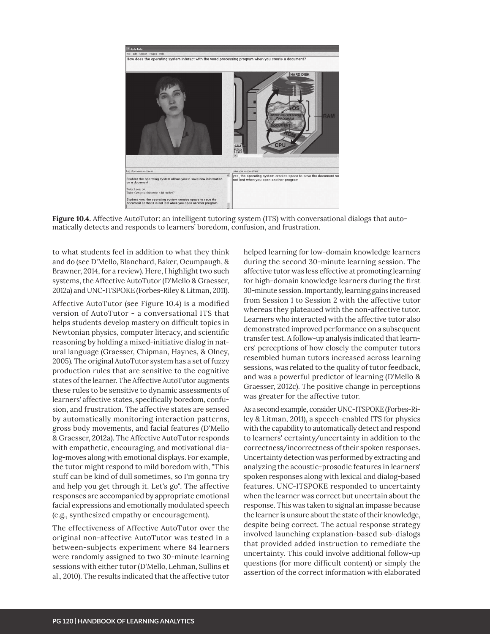

**Figure 10.4.** Affective AutoTutor: an intelligent tutoring system (ITS) with conversational dialogs that automatically detects and responds to learners' boredom, confusion, and frustration.

to what students feel in addition to what they think and do (see D'Mello, Blanchard, Baker, Ocumpaugh, & Brawner, 2014, for a review). Here, I highlight two such systems, the Affective AutoTutor (D'Mello & Graesser, 2012a) and UNC-ITSPOKE (Forbes-Riley & Litman, 2011).

Affective AutoTutor (see Figure 10.4) is a modified version of AutoTutor - a conversational ITS that helps students develop mastery on difficult topics in Newtonian physics, computer literacy, and scientific reasoning by holding a mixed-initiative dialog in natural language (Graesser, Chipman, Haynes, & Olney, 2005). The original AutoTutor system has a set of fuzzy production rules that are sensitive to the cognitive states of the learner. The Affective AutoTutor augments these rules to be sensitive to dynamic assessments of learners' affective states, specifically boredom, confusion, and frustration. The affective states are sensed by automatically monitoring interaction patterns, gross body movements, and facial features (D'Mello & Graesser, 2012a). The Affective AutoTutor responds with empathetic, encouraging, and motivational dialog-moves along with emotional displays. For example, the tutor might respond to mild boredom with, "This stuff can be kind of dull sometimes, so I'm gonna try and help you get through it. Let's go". The affective responses are accompanied by appropriate emotional facial expressions and emotionally modulated speech (e.g., synthesized empathy or encouragement).

The effectiveness of Affective AutoTutor over the original non-affective AutoTutor was tested in a between-subjects experiment where 84 learners were randomly assigned to two 30-minute learning sessions with either tutor (D'Mello, Lehman, Sullins et al., 2010). The results indicated that the affective tutor

helped learning for low-domain knowledge learners during the second 30-minute learning session. The affective tutor was less effective at promoting learning for high-domain knowledge learners during the first 30-minute session. Importantly, learning gains increased from Session 1 to Session 2 with the affective tutor whereas they plateaued with the non-affective tutor. Learners who interacted with the affective tutor also demonstrated improved performance on a subsequent transfer test. A follow-up analysis indicated that learners' perceptions of how closely the computer tutors resembled human tutors increased across learning sessions, was related to the quality of tutor feedback, and was a powerful predictor of learning (D'Mello & Graesser, 2012c). The positive change in perceptions was greater for the affective tutor.

As a second example, consider UNC-ITSPOKE (Forbes-Riley & Litman, 2011), a speech-enabled ITS for physics with the capability to automatically detect and respond to learners' certainty/uncertainty in addition to the correctness/incorrectness of their spoken responses. Uncertainty detection was performed by extracting and analyzing the acoustic-prosodic features in learners' spoken responses along with lexical and dialog-based features. UNC-ITSPOKE responded to uncertainty when the learner was correct but uncertain about the response. This was taken to signal an impasse because the learner is unsure about the state of their knowledge, despite being correct. The actual response strategy involved launching explanation-based sub-dialogs that provided added instruction to remediate the uncertainty. This could involve additional follow-up questions (for more difficult content) or simply the assertion of the correct information with elaborated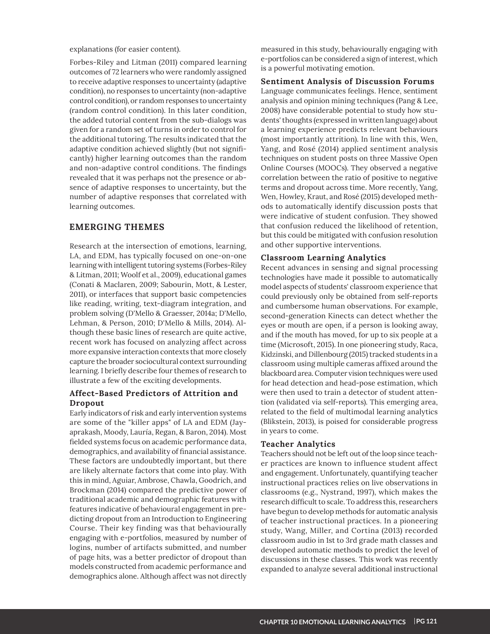explanations (for easier content).

Forbes-Riley and Litman (2011) compared learning outcomes of 72 learners who were randomly assigned to receive adaptive responses to uncertainty (adaptive condition), no responses to uncertainty (non-adaptive control condition), or random responses to uncertainty (random control condition). In this later condition, the added tutorial content from the sub-dialogs was given for a random set of turns in order to control for the additional tutoring. The results indicated that the adaptive condition achieved slightly (but not significantly) higher learning outcomes than the random and non-adaptive control conditions. The findings revealed that it was perhaps not the presence or absence of adaptive responses to uncertainty, but the number of adaptive responses that correlated with learning outcomes.

#### **EMERGING THEMES**

Research at the intersection of emotions, learning, LA, and EDM, has typically focused on one-on-one learning with intelligent tutoring systems (Forbes-Riley & Litman, 2011; Woolf et al., 2009), educational games (Conati & Maclaren, 2009; Sabourin, Mott, & Lester, 2011), or interfaces that support basic competencies like reading, writing, text-diagram integration, and problem solving (D'Mello & Graesser, 2014a; D'Mello, Lehman, & Person, 2010; D'Mello & Mills, 2014). Although these basic lines of research are quite active, recent work has focused on analyzing affect across more expansive interaction contexts that more closely capture the broader sociocultural context surrounding learning. I briefly describe four themes of research to illustrate a few of the exciting developments.

### **Affect-Based Predictors of Attrition and Dropout**

Early indicators of risk and early intervention systems are some of the "killer apps" of LA and EDM (Jayaprakash, Moody, Lauría, Regan, & Baron, 2014). Most fielded systems focus on academic performance data, demographics, and availability of financial assistance. These factors are undoubtedly important, but there are likely alternate factors that come into play. With this in mind, Aguiar, Ambrose, Chawla, Goodrich, and Brockman (2014) compared the predictive power of traditional academic and demographic features with features indicative of behavioural engagement in predicting dropout from an Introduction to Engineering Course. Their key finding was that behaviourally engaging with e-portfolios, measured by number of logins, number of artifacts submitted, and number of page hits, was a better predictor of dropout than models constructed from academic performance and demographics alone. Although affect was not directly

measured in this study, behaviourally engaging with e-portfolios can be considered a sign of interest, which is a powerful motivating emotion.

**Sentiment Analysis of Discussion Forums**

Language communicates feelings. Hence, sentiment analysis and opinion mining techniques (Pang & Lee, 2008) have considerable potential to study how students' thoughts (expressed in written language) about a learning experience predicts relevant behaviours (most importantly attrition). In line with this, Wen, Yang, and Rosé (2014) applied sentiment analysis techniques on student posts on three Massive Open Online Courses (MOOCs). They observed a negative correlation between the ratio of positive to negative terms and dropout across time. More recently, Yang, Wen, Howley, Kraut, and Rosé (2015) developed methods to automatically identify discussion posts that were indicative of student confusion. They showed that confusion reduced the likelihood of retention, but this could be mitigated with confusion resolution and other supportive interventions.

#### **Classroom Learning Analytics**

Recent advances in sensing and signal processing technologies have made it possible to automatically model aspects of students' classroom experience that could previously only be obtained from self-reports and cumbersome human observations. For example, second-generation Kinects can detect whether the eyes or mouth are open, if a person is looking away, and if the mouth has moved, for up to six people at a time (Microsoft, 2015). In one pioneering study, Raca, Kidzinski, and Dillenbourg (2015) tracked students in a classroom using multiple cameras affixed around the blackboard area. Computer vision techniques were used for head detection and head-pose estimation, which were then used to train a detector of student attention (validated via self-reports). This emerging area, related to the field of multimodal learning analytics (Blikstein, 2013), is poised for considerable progress in years to come.

#### **Teacher Analytics**

Teachers should not be left out of the loop since teacher practices are known to influence student affect and engagement. Unfortunately, quantifying teacher instructional practices relies on live observations in classrooms (e.g., Nystrand, 1997), which makes the research difficult to scale. To address this, researchers have begun to develop methods for automatic analysis of teacher instructional practices. In a pioneering study, Wang, Miller, and Cortina (2013) recorded classroom audio in 1st to 3rd grade math classes and developed automatic methods to predict the level of discussions in these classes. This work was recently expanded to analyze several additional instructional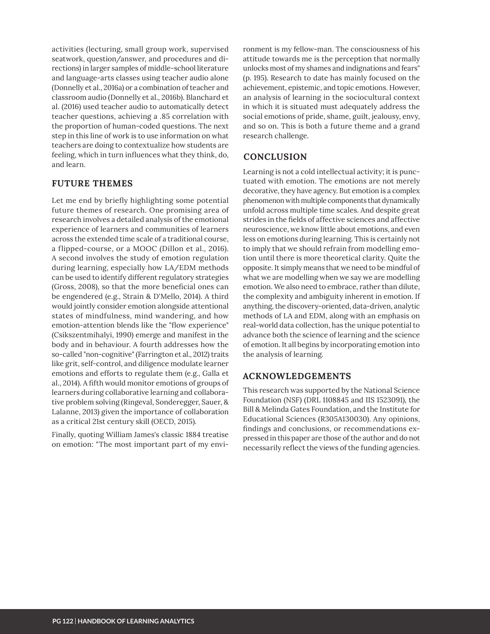activities (lecturing, small group work, supervised seatwork, question/answer, and procedures and directions) in larger samples of middle-school literature and language-arts classes using teacher audio alone (Donnelly et al., 2016a) or a combination of teacher and classroom audio (Donnelly et al., 2016b). Blanchard et al. (2016) used teacher audio to automatically detect teacher questions, achieving a .85 correlation with the proportion of human-coded questions. The next step in this line of work is to use information on what teachers are doing to contextualize how students are feeling, which in turn influences what they think, do, and learn.

# **FUTURE THEMES**

Let me end by briefly highlighting some potential future themes of research. One promising area of research involves a detailed analysis of the emotional experience of learners and communities of learners across the extended time scale of a traditional course, a flipped-course, or a MOOC (Dillon et al., 2016). A second involves the study of emotion regulation during learning, especially how LA/EDM methods can be used to identify different regulatory strategies (Gross, 2008), so that the more beneficial ones can be engendered (e.g., Strain & D'Mello, 2014). A third would jointly consider emotion alongside attentional states of mindfulness, mind wandering, and how emotion-attention blends like the "flow experience" (Csikszentmihalyi, 1990) emerge and manifest in the body and in behaviour. A fourth addresses how the so-called "non-cognitive" (Farrington et al., 2012) traits like grit, self-control, and diligence modulate learner emotions and efforts to regulate them (e.g., Galla et al., 2014). A fifth would monitor emotions of groups of learners during collaborative learning and collaborative problem solving (Ringeval, Sonderegger, Sauer, & Lalanne, 2013) given the importance of collaboration as a critical 21st century skill (OECD, 2015).

Finally, quoting William James's classic 1884 treatise on emotion: "The most important part of my environment is my fellow-man. The consciousness of his attitude towards me is the perception that normally unlocks most of my shames and indignations and fears" (p. 195). Research to date has mainly focused on the achievement, epistemic, and topic emotions. However, an analysis of learning in the sociocultural context in which it is situated must adequately address the social emotions of pride, shame, guilt, jealousy, envy, and so on. This is both a future theme and a grand research challenge.

# **CONCLUSION**

Learning is not a cold intellectual activity; it is punctuated with emotion. The emotions are not merely decorative, they have agency. But emotion is a complex phenomenon with multiple components that dynamically unfold across multiple time scales. And despite great strides in the fields of affective sciences and affective neuroscience, we know little about emotions, and even less on emotions during learning. This is certainly not to imply that we should refrain from modelling emotion until there is more theoretical clarity. Quite the opposite. It simply means that we need to be mindful of what we are modelling when we say we are modelling emotion. We also need to embrace, rather than dilute, the complexity and ambiguity inherent in emotion. If anything, the discovery-oriented, data-driven, analytic methods of LA and EDM, along with an emphasis on real-world data collection, has the unique potential to advance both the science of learning and the science of emotion. It all begins by incorporating emotion into the analysis of learning.

# **ACKNOWLEDGEMENTS**

This research was supported by the National Science Foundation (NSF) (DRL 1108845 and IIS 1523091), the Bill & Melinda Gates Foundation, and the Institute for Educational Sciences (R305A130030). Any opinions, findings and conclusions, or recommendations expressed in this paper are those of the author and do not necessarily reflect the views of the funding agencies.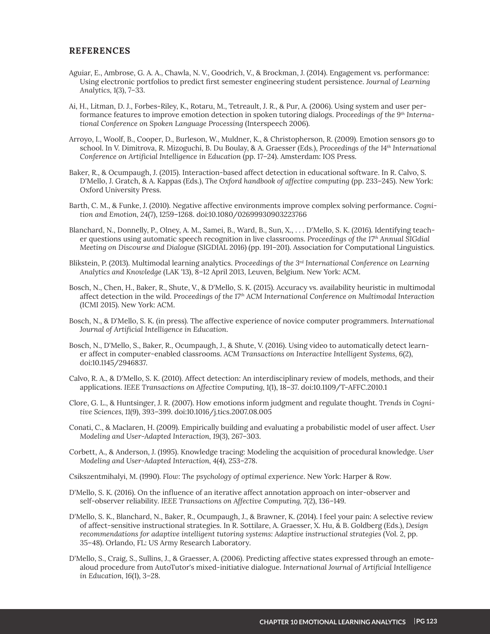#### **REFERENCES**

- Aguiar, E., Ambrose, G. A. A., Chawla, N. V., Goodrich, V., & Brockman, J. (2014). Engagement vs. performance: Using electronic portfolios to predict first semester engineering student persistence. Journal of Learning Analytics, 1(3), 7-33.
- Ai, H., Litman, D. J., Forbes-Riley, K., Rotaru, M., Tetreault, J. R., & Pur, A. (2006). Using system and user performance features to improve emotion detection in spoken tutoring dialogs. Proceedings of the 9th International Conference on Spoken Language Processing (Interspeech 2006).
- Arroyo, I., Woolf, B., Cooper, D., Burleson, W., Muldner, K., & Christopherson, R. (2009). Emotion sensors go to school. In V. Dimitrova, R. Mizoguchi, B. Du Boulay, & A. Graesser (Eds.), Proceedings of the 14th International Conference on Artificial Intelligence in Education (pp. 17-24). Amsterdam: IOS Press.
- Baker, R., & Ocumpaugh, J. (2015). Interaction-based affect detection in educational software. In R. Calvo, S. D'Mello, J. Gratch, & A. Kappas (Eds.), The Oxford handbook of affective computing (pp. 233-245). New York: Oxford University Press.
- Barth, C. M., & Funke, J. (2010). Negative affective environments improve complex solving performance. Cognition and Emotion, 24(7), 1259-1268. doi:10.1080/02699930903223766
- Blanchard, N., Donnelly, P., Olney, A. M., Samei, B., Ward, B., Sun, X., ... D'Mello, S. K. (2016). Identifying teacher questions using automatic speech recognition in live classrooms. Proceedings of the  $17<sup>th</sup>$  Annual SIGdial Meeting on Discourse and Dialoque (SIGDIAL 2016) (pp. 191-201). Association for Computational Linguistics.
- Blikstein, P. (2013). Multimodal learning analytics. Proceedings of the 3rd International Conference on Learning Analytics and Knowledge (LAK '13), 8-12 April 2013, Leuven, Belgium. New York: ACM.
- Bosch, N., Chen, H., Baker, R., Shute, V., & D'Mello, S. K. (2015). Accuracy vs. availability heuristic in multimodal affect detection in the wild. Proceedings of the 17th ACM International Conference on Multimodal Interaction (ICMI 2015). New York: ACM.
- Bosch, N., & D'Mello, S. K. (in press). The affective experience of novice computer programmers. International Journal of Artificial Intelligence in Education.
- Bosch, N., D'Mello, S., Baker, R., Ocumpaugh, J., & Shute, V. (2016). Using video to automatically detect learner affect in computer-enabled classrooms. ACM Transactions on Interactive Intelligent Systems, 6(2), doi:10.1145/2946837.
- Calvo, R. A., & D'Mello, S. K. (2010). Affect detection: An interdisciplinary review of models, methods, and their applications. IEEE Transactions on Affective Computing, 1(1), 18-37. doi:10.1109/T-AFFC.2010.1
- Clore, G. L., & Huntsinger, J. R. (2007). How emotions inform judgment and regulate thought. Trends in Cognitive Sciences, 11(9), 393-399. doi:10.1016/j.tics.2007.08.005
- Conati, C., & Maclaren, H. (2009). Empirically building and evaluating a probabilistic model of user affect. User Modeling and User-Adapted Interaction, 19(3), 267-303.
- Corbett, A., & Anderson, J. (1995). Knowledge tracing: Modeling the acquisition of procedural knowledge. User Modeling and User-Adapted Interaction, 4(4), 253-278.

Csikszentmihalyi, M. (1990). Flow: The psychology of optimal experience. New York: Harper & Row.

- D'Mello, S. K. (2016). On the influence of an iterative affect annotation approach on inter-observer and self-observer reliability. IEEE Transactions on Affective Computing, 7(2), 136-149.
- D'Mello, S. K., Blanchard, N., Baker, R., Ocumpaugh, J., & Brawner, K. (2014). I feel your pain: A selective review of affect-sensitive instructional strategies. In R. Sottilare, A. Graesser, X. Hu, & B. Goldberg (Eds.), Design recommendations for adaptive intelligent tutoring systems: Adaptive instructional strategies (Vol. 2, pp. 35-48). Orlando, FL: US Army Research Laboratory.
- D'Mello, S., Craig, S., Sullins, J., & Graesser, A. (2006). Predicting affective states expressed through an emotealoud procedure from AutoTutor's mixed-initiative dialogue. International Journal of Artificial Intelligence in Education, 16(1), 3-28.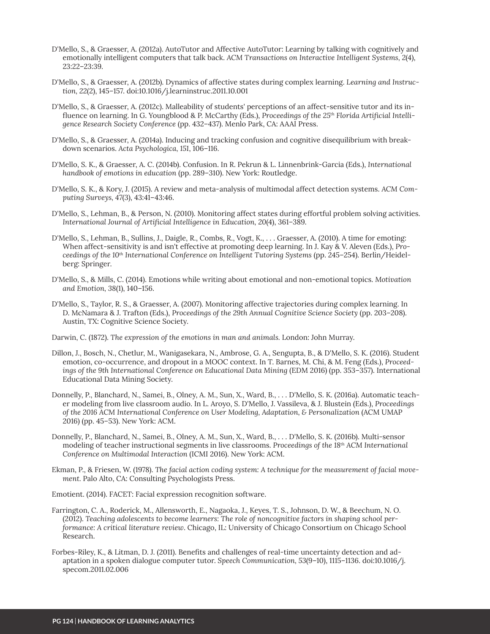- D'Mello, S., & Graesser, A. (2012a). AutoTutor and Affective AutoTutor: Learning by talking with cognitively and emotionally intelligent computers that talk back. ACM Transactions on Interactive Intelligent Systems, 2(4), 23:22-23:39.
- D'Mello, S., & Graesser, A. (2012b). Dynamics of affective states during complex learning. Learning and Instruction, 22(2), 145-157. doi:10.1016/j.learninstruc.2011.10.001
- D'Mello, S., & Graesser, A. (2012c). Malleability of students' perceptions of an affect-sensitive tutor and its influence on learning. In G. Youngblood & P. McCarthy (Eds.), Proceedings of the 25<sup>th</sup> Florida Artificial Intelligence Research Society Conference (pp. 432–437). Menlo Park, CA: AAAI Press.
- D'Mello, S., & Graesser, A. (2014a). Inducing and tracking confusion and cognitive disequilibrium with breakdown scenarios. Acta Psychologica, 151, 106-116.
- D'Mello, S. K., & Graesser, A. C. (2014b). Confusion. In R. Pekrun & L. Linnenbrink-Garcia (Eds.), International handbook of emotions in education (pp. 289-310). New York: Routledge.
- D'Mello, S. K., & Kory, J. (2015). A review and meta-analysis of multimodal affect detection systems. ACM Computing Surveys, 47(3), 43:41-43:46.
- D'Mello, S., Lehman, B., & Person, N. (2010). Monitoring affect states during effortful problem solving activities. International Journal of Artificial Intelligence in Education, 20(4), 361-389.
- D'Mello, S., Lehman, B., Sullins, J., Daigle, R., Combs, R., Vogt, K., . . . Graesser, A. (2010). A time for emoting: When affect-sensitivity is and isn't effective at promoting deep learning. In J. Kay & V. Aleven (Eds.), Proceedings of the 10<sup>th</sup> International Conference on Intelligent Tutoring Systems (pp. 245–254). Berlin/Heidelberg: Springer.
- D'Mello, S., & Mills, C. (2014). Emotions while writing about emotional and non-emotional topics. Motivation and Emotion, 38(1), 140-156.
- D'Mello, S., Taylor, R. S., & Graesser, A. (2007). Monitoring affective trajectories during complex learning. In D. McNamara & J. Trafton (Eds.), Proceedings of the 29th Annual Cognitive Science Society (pp. 203-208). Austin, TX: Cognitive Science Society.
- Darwin, C. (1872). The expression of the emotions in man and animals. London: John Murray.
- Dillon, J., Bosch, N., Chetlur, M., Wanigasekara, N., Ambrose, G. A., Sengupta, B., & D'Mello, S. K. (2016). Student emotion, co-occurrence, and dropout in a MOOC context. In T. Barnes, M. Chi, & M. Feng (Eds.), Proceedings of the 9th International Conference on Educational Data Mining (EDM 2016) (pp. 353-357). International **Educational Data Mining Society.**
- Donnelly, P., Blanchard, N., Samei, B., Olney, A. M., Sun, X., Ward, B., . . . D'Mello, S. K. (2016a). Automatic teacher modeling from live classroom audio. In L. Aroyo, S. D'Mello, J. Vassileva, & J. Blustein (Eds.), Proceedings of the 2016 ACM International Conference on User Modeling, Adaptation, & Personalization (ACM UMAP 2016) (pp. 45-53). New York: ACM.
- Donnelly, P., Blanchard, N., Samei, B., Olney, A. M., Sun, X., Ward, B., ... D'Mello, S. K. (2016b). Multi-sensor modeling of teacher instructional segments in live classrooms. Proceedings of the 18<sup>th</sup> ACM International Conference on Multimodal Interaction (ICMI 2016). New York: ACM.
- Ekman, P., & Friesen, W. (1978). The facial action coding system: A technique for the measurement of facial movement. Palo Alto, CA: Consulting Psychologists Press.
- Emotient. (2014). FACET: Facial expression recognition software.
- Farrington, C. A., Roderick, M., Allensworth, E., Nagaoka, J., Keyes, T. S., Johnson, D. W., & Beechum, N. O. (2012). Teaching adolescents to become learners: The role of noncognitive factors in shaping school performance: A critical literature review. Chicago, IL: University of Chicago Consortium on Chicago School Research.
- Forbes-Riley, K., & Litman, D. J. (2011). Benefits and challenges of real-time uncertainty detection and adaptation in a spoken dialogue computer tutor. Speech Communication, 53(9-10), 1115-1136. doi:10.1016/j. specom.2011.02.006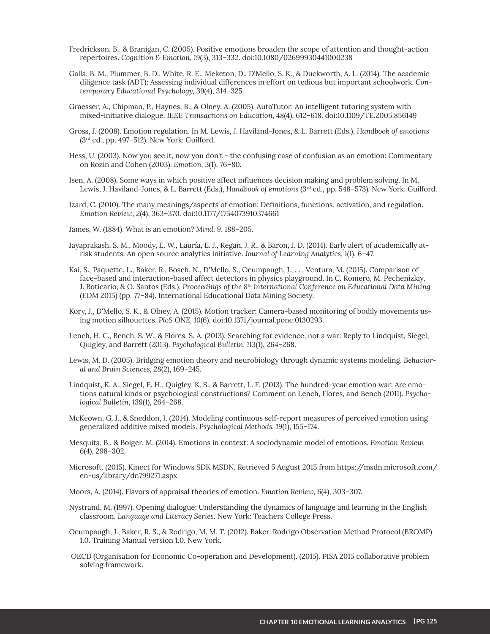- Fredrickson, B., & Branigan, C. (2005). Positive emotions broaden the scope of attention and thought-action repertoires. *Cognition & Emotion, 19(3), 313-332. doi:10.1080/02699930441000238*
- Galla, B. M., Plummer, B. D., White, R. E., Meketon, D., D'Mello, S. K., & Duckworth, A. L. (2014). The academic diligence task (ADT): Assessing individual differences in effort on tedious but important schoolwork. Contemporary Educational Psychology, 39(4), 314-325.
- Graesser, A., Chipman, P., Haynes, B., & Olney, A. (2005). AutoTutor: An intelligent tutoring system with mixed-initiative dialogue. IEEE Transactions on Education, 48(4), 612–618. doi:10.1109/TE.2005.856149
- Gross, J. (2008). Emotion regulation. In M. Lewis, J. Haviland-Jones, & L. Barrett (Eds.), Handbook of emotions  $(3<sup>rd</sup>$  ed., pp. 497-512). New York: Guilford.
- Hess, U. (2003). Now you see it, now you don't the confusing case of confusion as an emotion: Commentary on Rozin and Cohen (2003). Emotion, 3(1), 76-80.
- Isen, A. (2008). Some ways in which positive affect influences decision making and problem solving. In M. Lewis, J. Haviland-Jones, & L. Barrett (Eds.), Handbook of emotions (3rd ed., pp. 548-573). New York: Guilford.
- Izard, C. (2010). The many meanings/aspects of emotion: Definitions, functions, activation, and regulation. Emotion Review, 2(4), 363-370. doi:10.1177/1754073910374661
- James, W. (1884). What is an emotion? Mind, 9, 188-205.
- Jayaprakash, S. M., Moody, E. W., Lauría, E. J., Regan, J. R., & Baron, J. D. (2014). Early alert of academically atrisk students: An open source analytics initiative. *Journal of Learning Analytics*, 1(1), 6–47.
- Kai, S., Paquette, L., Baker, R., Bosch, N., D'Mello, S., Ocumpaugh, J., . . . Ventura, M. (2015). Comparison of face-based and interaction-based affect detectors in physics playground. In C. Romero, M. Pechenizkiy, J. Boticario, & O. Santos (Eds.), Proceedings of the 8<sup>th</sup> International Conference on Educational Data Mining (EDM 2015) (pp. 77-84). International Educational Data Mining Society.
- Kory, J., D'Mello, S. K., & Olney, A. (2015). Motion tracker: Camera-based monitoring of bodily movements using motion silhouettes. PloS ONE, 10(6), doi:10.1371/journal.pone.0130293.
- Lench, H. C., Bench, S. W., & Flores, S. A. (2013). Searching for evidence, not a war: Reply to Lindquist, Siegel, Quigley, and Barrett (2013). Psychological Bulletin, 113(1), 264-268.
- Lewis, M. D. (2005). Bridging emotion theory and neurobiology through dynamic systems modeling. Behavior*al and Brain Sciences, 28(2), 169-245.*
- Lindquist, K. A., Siegel, E. H., Quigley, K. S., & Barrett, L. F. (2013). The hundred-year emotion war: Are emotions natural kinds or psychological constructions? Comment on Lench, Flores, and Bench (2011). Psychological Bulletin, 139(1), 264-268.
- McKeown, G. J., & Sneddon, I. (2014). Modeling continuous self-report measures of perceived emotion using generalized additive mixed models. Psychological Methods, 19(1), 155-174.
- Mesquita, B., & Boiger, M. (2014). Emotions in context: A sociodynamic model of emotions. *Emotion Review*,  $6(4)$ , 298-302.
- Microsoft. (2015). Kinect for Windows SDK MSDN. Retrieved 5 August 2015 from https://msdn.microsoft.com/ en-us/library/dn799271.aspx
- Moors, A. (2014). Flavors of appraisal theories of emotion. *Emotion Review*, 6(4), 303-307.
- Nystrand, M. (1997). Opening dialogue: Understanding the dynamics of language and learning in the English classroom. Language and Literacy Series. New York: Teachers College Press.
- Ocumpaugh, J., Baker, R. S., & Rodrigo, M. M. T. (2012). Baker-Rodrigo Observation Method Protocol (BROMP) 1.0. Training Manual version 1.0. New York.
- OECD (Organisation for Economic Co-operation and Development). (2015). PISA 2015 collaborative problem solving framework.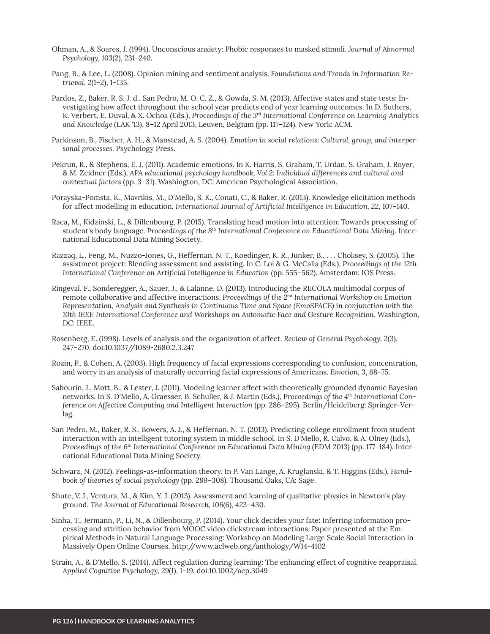- Ohman, A., & Soares, J. (1994). Unconscious anxiety: Phobic responses to masked stimuli. Journal of Abnormal Psychology, 103(2), 231-240.
- Pang, B., & Lee, L. (2008). Opinion mining and sentiment analysis. Foundations and Trends in Information Retrieval, 2(1-2), 1-135.
- Pardos, Z., Baker, R. S. J. d., San Pedro, M. O. C. Z., & Gowda, S. M. (2013). Affective states and state tests: In-Vestigating how affect throughout the school year predicts end of year learning outcomes. In D. Suthers, K. Verbert, E. Duval, & X. Ochoa (Eds.), Proceedings of the 3<sup>*rd*</sup> International Conference on Learning Analytics and Knowledge (LAK '13), 8–12 April 2013, Leuven, Belgium (pp. 117–124). New York: ACM.
- Parkinson, B., Fischer, A. H., & Manstead, A. S. (2004). Emotion in social relations: Cultural, group, and interpersonal processes. Psychology Press.
- Pekrun, R., & Stephens, E. J. (2011). Academic emotions. In K. Harris, S. Graham, T. Urdan, S. Graham, J. Rover,  $\&$  M. Zeidner (Eds.), APA educational psychology handbook, Vol 2: Individual differences and cultural and *contextual factors* (pp. 3–31). Washington, DC: American Psychological Association.
- Porayska-Pomsta, K., Mavrikis, M., D'Mello, S. K., Conati, C., & Baker, R. (2013). Knowledge elicitation methods for affect modelling in education. *International Journal of Artificial Intelligence in Education*, 22, 107-140.
- Raca, M., Kidzinski, L., & Dillenbourg, P. (2015). Translating head motion into attention: Towards processing of student's body language. Proceedings of the 8<sup>th</sup> International Conference on Educational Data Mining. International Educational Data Mining Society.
- Razzaq, L., Feng, M., Nuzzo-Jones, G., Heffernan, N. T., Koedinger, K. R., Junker, B., . . . Choksey, S. (2005). The assistment project: Blending assessment and assisting. In C. Loi & G. McCalla (Eds.), *Proceedings of the 12th International Conference on Artificial Intelligence in Education (pp. 555-562). Amsterdam: IOS Press.*
- Ringeval, F., Sonderegger, A., Sauer, J., & Lalanne, D. (2013). Introducing the RECOLA multimodal corpus of remote collaborative and affective interactions. *Proceedings of the 2nd International Workshop on Emotion Representation, Analysis and Synthesis in Continuous Time and Space (EmoSPACE) in conjunction with the 10th IEEE International Conference and Workshops on Automatic Face and Gesture Recognition*. Washington, DC: IEEE.
- Rosenberg, E. (1998). Levels of analysis and the organization of affect. Review of General Psychology, 2(3), 247-270. doi:10.1037//1089-2680.2.3.247
- Rozin, P., & Cohen, A. (2003). High frequency of facial expressions corresponding to confusion, concentration, and worry in an analysis of maturally occurring facial expressions of Americans. *Emotion*, 3, 68–75.
- Sabourin, J., Mott, B., & Lester, J. (2011). Modeling learner affect with theoretically grounded dynamic Bayesian networks. In S. D'Mello, A. Graesser, B. Schuller, & J. Martin (Eds.), Proceedings of the 4<sup>th</sup> International Con*ference on Affective Computing and Intelligent Interaction* (pp. 286–295). Berlin/Heidelberg: Springer-Verlag.
- San Pedro, M., Baker, R. S., Bowers, A. J., & Heffernan, N. T. (2013). Predicting college enrollment from student interaction with an intelligent tutoring system in middle school. In S. D'Mello, R. Calvo, & A. Olney (Eds.), Proceedings of the 6<sup>th</sup> International Conference on Educational Data Mining (EDM 2013) (pp. 177-184). International Educational Data Mining Society.
- Schwarz, N. (2012). Feelings-as-information theory. In P. Van Lange, A. Kruglanski, & T. Higgins (Eds.), Handbook of theories of social psychology (pp. 289-308). Thousand Oaks, CA: Sage.
- Shute, V. J., Ventura, M., & Kim, Y. J. (2013). Assessment and learning of qualitative physics in Newton's playground. The Journal of Educational Research, 106(6), 423-430.
- Sinha, T., Jermann, P., Li, N., & Dillenbourg, P. (2014). Your click decides your fate: Inferring information processing and attrition behavior from MOOC video clickstream interactions. Paper presented at the Empirical Methods in Natural Language Processing: Workshop on Modeling Large Scale Social Interaction in Massively Open Online Courses. http://www.aclweb.org/anthology/W14-4102
- Strain, A., & D'Mello, S. (2014). Affect regulation during learning: The enhancing effect of cognitive reappraisal. Applied Cognitive Psychology, 29(1), 1-19. doi:10.1002/acp.3049